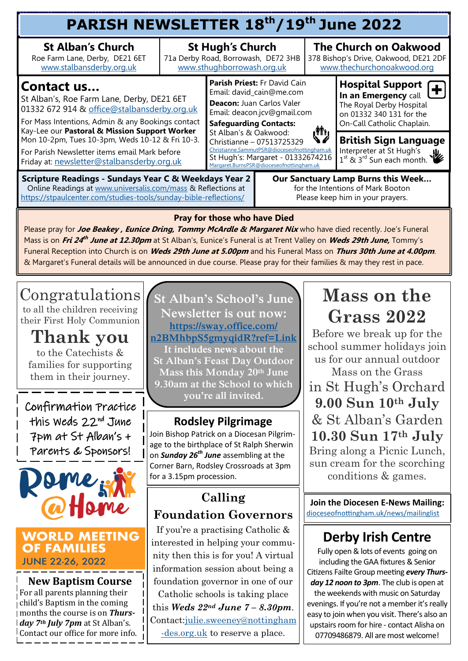| PARISH NEWSLETTER 18th/19th June 2022                                                                                                                                                                                                                                                                                                                                                                                                                                                                                                   |                                                                                              |                                                                                                                                                                                                                                                                                                                                                                     |  |                                                                                                     |                                                                                                                                       |  |  |  |  |
|-----------------------------------------------------------------------------------------------------------------------------------------------------------------------------------------------------------------------------------------------------------------------------------------------------------------------------------------------------------------------------------------------------------------------------------------------------------------------------------------------------------------------------------------|----------------------------------------------------------------------------------------------|---------------------------------------------------------------------------------------------------------------------------------------------------------------------------------------------------------------------------------------------------------------------------------------------------------------------------------------------------------------------|--|-----------------------------------------------------------------------------------------------------|---------------------------------------------------------------------------------------------------------------------------------------|--|--|--|--|
| <b>St Alban's Church</b><br>Roe Farm Lane, Derby, DE21 6ET<br>www.stalbansderby.org.uk                                                                                                                                                                                                                                                                                                                                                                                                                                                  | <b>St Hugh's Church</b><br>71a Derby Road, Borrowash, DE72 3HB<br>www.sthughborrowash.org.uk |                                                                                                                                                                                                                                                                                                                                                                     |  | <b>The Church on Oakwood</b><br>378 Bishop's Drive, Oakwood, DE21 2DF<br>www.thechurchonoakwood.org |                                                                                                                                       |  |  |  |  |
| Contact us<br>St Alban's, Roe Farm Lane, Derby, DE21 6ET<br>01332 672 914 & office@stalbansderby.org.uk<br>For Mass Intentions, Admin & any Bookings contact                                                                                                                                                                                                                                                                                                                                                                            |                                                                                              | <b>Parish Priest: Fr David Cain</b><br>Email: david_cain@me.com<br>Deacon: Juan Carlos Valer<br>Email: deacon.jcv@gmail.com<br><b>Safeguarding Contacts:</b><br>ر الآل<br>St Alban's & Oakwood:<br>↘∥<br>Christianne - 07513725329<br>Christianne.SammutPSR@dioceseofnottingham.uk<br>St Hugh's: Margaret - 01332674216<br>Margaret.BurnsPSR@dioceseofnottingham.uk |  |                                                                                                     | <b>Hospital Support</b><br>In an Emergency call<br>The Royal Derby Hospital<br>on 01332 340 131 for the<br>On-Call Catholic Chaplain. |  |  |  |  |
| Kay-Lee our Pastoral & Mission Support Worker<br>Mon 10-2pm, Tues 10-3pm, Weds 10-12 & Fri 10-3.<br>For Parish Newsletter items email Mark before<br>Friday at: newsletter@stalbansderby.org.uk                                                                                                                                                                                                                                                                                                                                         |                                                                                              |                                                                                                                                                                                                                                                                                                                                                                     |  | <b>British Sign Language</b><br>Interpreter at St Hugh's<br>$1^{st}$ & $3^{rd}$ Sun each month.     |                                                                                                                                       |  |  |  |  |
| <b>Scripture Readings - Sundays Year C &amp; Weekdays Year 2</b><br>Our Sanctuary Lamp Burns this Week<br>for the Intentions of Mark Booton<br>Online Readings at www.universalis.com/mass & Reflections at<br>https://stpaulcenter.com/studies-tools/sunday-bible-reflections/<br>Please keep him in your prayers.                                                                                                                                                                                                                     |                                                                                              |                                                                                                                                                                                                                                                                                                                                                                     |  |                                                                                                     |                                                                                                                                       |  |  |  |  |
| <b>Pray for those who have Died</b><br>Please pray for Joe Beakey, Eunice Dring, Tommy McArdle & Margaret Nix who have died recently. Joe's Funeral<br>Mass is on Fri 24 <sup>th</sup> June at 12.30pm at St Alban's, Eunice's Funeral is at Trent Valley on Weds 29th June, Tommy's<br>Funeral Reception into Church is on <i>Weds 29th June at 5.00pm</i> and his Funeral Mass on Thurs 30th June at 4.00pm.<br>& Margaret's Funeral details will be announced in due course. Please pray for their families & may they rest in pace. |                                                                                              |                                                                                                                                                                                                                                                                                                                                                                     |  |                                                                                                     |                                                                                                                                       |  |  |  |  |

Congratulations to all the children receiving their First Holy Communion

**Thank you**  to the Catechists & families for supporting them in their journey.

Confirmation Practice this Weds 22<sup>nd</sup> June 7pm at St Alban's + Parents & Sponsors!



#### **WORLD MEETING OF FAMILIES JUNE 22-26, 2022**

**New Baptism Course** For all parents planning their child's Baptism in the coming months the course is on *Thursday 7th July 7pm* at St Alban's. Contact our office for more info.

**St Alban's School's June Newsletter is out now: [https://sway.office.com/](mailto:https://sway.office.com/n2BMhbpS5gmyqidR?ref=Link) [n2BMhbpS5gmyqidR?ref=Link](mailto:https://sway.office.com/n2BMhbpS5gmyqidR?ref=Link) It includes news about the St Alban's Feast Day Outdoor** 

**Mass this Monday 20th June 9.30am at the School to which you're all invited.** 

### **Rodsley Pilgrimage**

Join Bishop Patrick on a Diocesan Pilgrimage to the birthplace of St Ralph Sherwin on *Sunday 26th June* assembling at the Corner Barn, Rodsley Crossroads at 3pm for a 3.15pm procession.

## **Calling Foundation Governors**

If you're a practising Catholic & interested in helping your community then this is for you! A virtual information session about being a foundation governor in one of our Catholic schools is taking place this *Weds 22nd June 7 – 8.30pm*. Contact[:julie.sweeney@nottingham](mailto:julie.sweeney@nottingham-des.org.uk) [-des.org.uk](mailto:julie.sweeney@nottingham-des.org.uk) to reserve a place.

## **Mass on the Grass 2022**

Before we break up for the school summer holidays join us for our annual outdoor Mass on the Grass in St Hugh's Orchard **9.00 Sun 10th July** & St Alban's Garden **10.30 Sun 17th July** Bring along a Picnic Lunch, sun cream for the scorching conditions & games.

**Join the Diocesen E-News Mailing:** [dioceseofnottingham.uk/news/mailinglist](mailto:dioceseofnottingham.uk/news/mailinglist)

## **Derby Irish Centre**

Fully open & lots of events going on including the GAA fixtures & Senior Citizens Failte Group meeting *every Thursday 12 noon to 3pm*. The club is open at the weekends with music on Saturday evenings. If you're not a member it's really easy to join when you visit. There's also an upstairs room for hire - contact Alisha on 07709486879. All are most welcome!